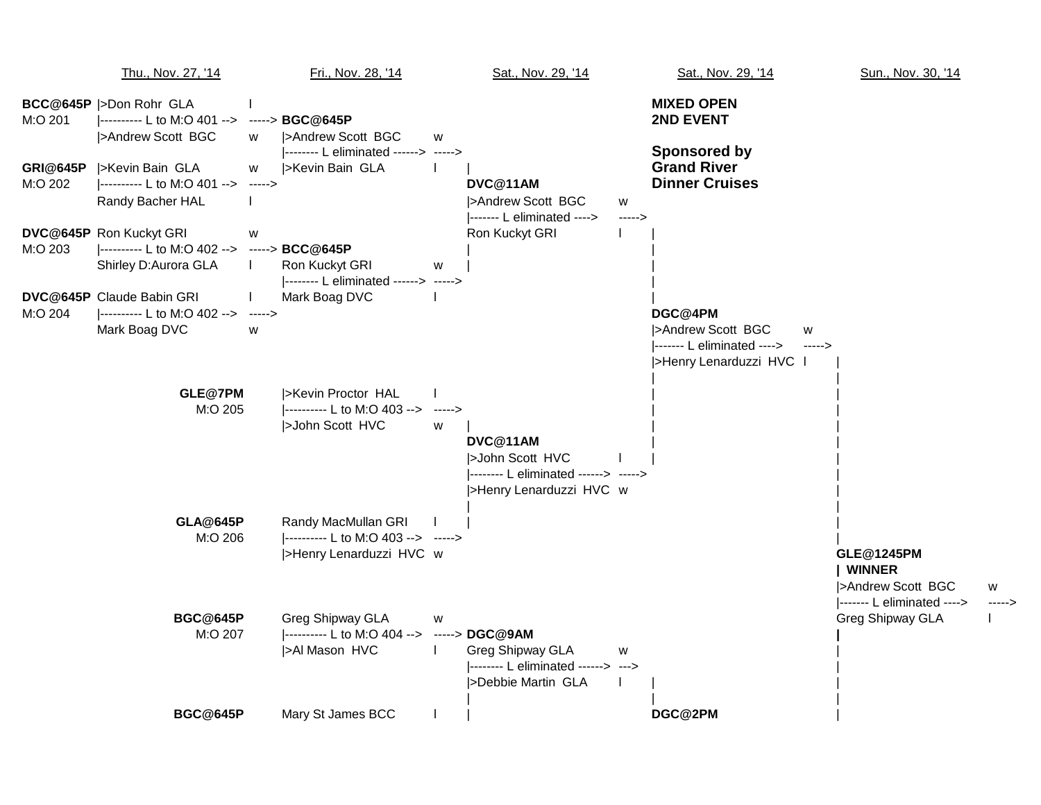